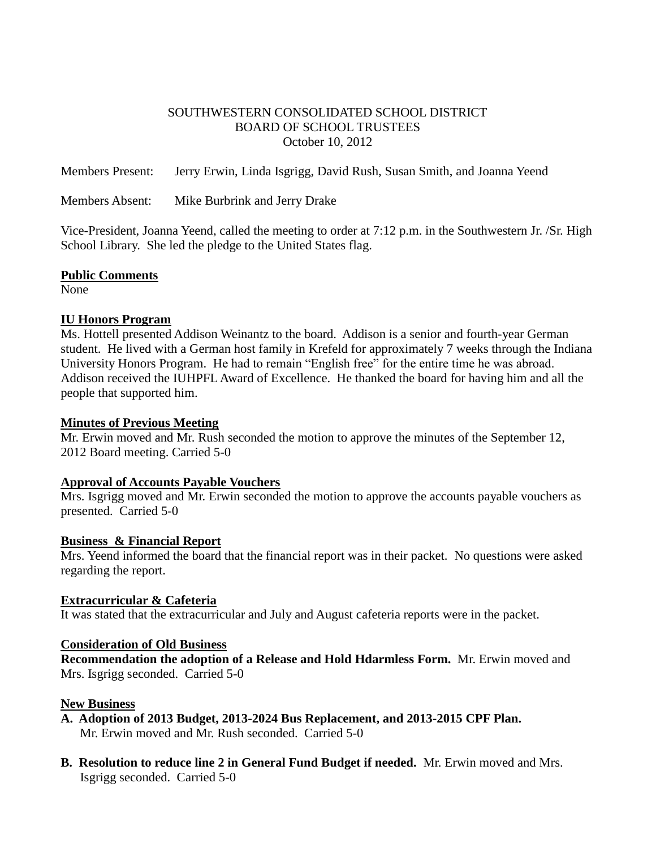### SOUTHWESTERN CONSOLIDATED SCHOOL DISTRICT BOARD OF SCHOOL TRUSTEES October 10, 2012

Members Present: Jerry Erwin, Linda Isgrigg, David Rush, Susan Smith, and Joanna Yeend

Members Absent: Mike Burbrink and Jerry Drake

Vice-President, Joanna Yeend, called the meeting to order at 7:12 p.m. in the Southwestern Jr. /Sr. High School Library. She led the pledge to the United States flag.

### **Public Comments**

None

### **IU Honors Program**

Ms. Hottell presented Addison Weinantz to the board. Addison is a senior and fourth-year German student. He lived with a German host family in Krefeld for approximately 7 weeks through the Indiana University Honors Program. He had to remain "English free" for the entire time he was abroad. Addison received the IUHPFL Award of Excellence. He thanked the board for having him and all the people that supported him.

### **Minutes of Previous Meeting**

Mr. Erwin moved and Mr. Rush seconded the motion to approve the minutes of the September 12, 2012 Board meeting. Carried 5-0

### **Approval of Accounts Payable Vouchers**

Mrs. Isgrigg moved and Mr. Erwin seconded the motion to approve the accounts payable vouchers as presented. Carried 5-0

### **Business & Financial Report**

Mrs. Yeend informed the board that the financial report was in their packet. No questions were asked regarding the report.

### **Extracurricular & Cafeteria**

It was stated that the extracurricular and July and August cafeteria reports were in the packet.

### **Consideration of Old Business**

**Recommendation the adoption of a Release and Hold Hdarmless Form.** Mr. Erwin moved and Mrs. Isgrigg seconded. Carried 5-0

### **New Business**

- **A. Adoption of 2013 Budget, 2013-2024 Bus Replacement, and 2013-2015 CPF Plan.** Mr. Erwin moved and Mr. Rush seconded. Carried 5-0
- **B. Resolution to reduce line 2 in General Fund Budget if needed.** Mr. Erwin moved and Mrs. Isgrigg seconded. Carried 5-0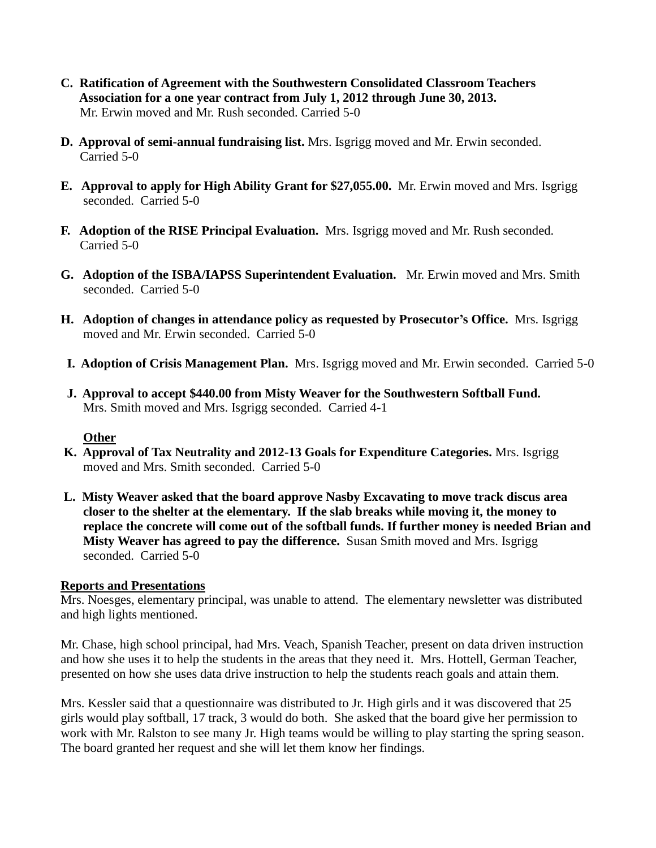- **C. Ratification of Agreement with the Southwestern Consolidated Classroom Teachers Association for a one year contract from July 1, 2012 through June 30, 2013.** Mr. Erwin moved and Mr. Rush seconded. Carried 5-0
- **D. Approval of semi-annual fundraising list.** Mrs. Isgrigg moved and Mr. Erwin seconded. Carried 5-0
- **E. Approval to apply for High Ability Grant for \$27,055.00.** Mr. Erwin moved and Mrs. Isgrigg seconded. Carried 5-0
- **F. Adoption of the RISE Principal Evaluation.** Mrs. Isgrigg moved and Mr. Rush seconded. Carried 5-0
- **G. Adoption of the ISBA/IAPSS Superintendent Evaluation.** Mr. Erwin moved and Mrs. Smith seconded. Carried 5-0
- **H. Adoption of changes in attendance policy as requested by Prosecutor's Office.** Mrs. Isgrigg moved and Mr. Erwin seconded. Carried 5-0
- **I. Adoption of Crisis Management Plan.** Mrs. Isgrigg moved and Mr. Erwin seconded. Carried 5-0
- **J. Approval to accept \$440.00 from Misty Weaver for the Southwestern Softball Fund.** Mrs. Smith moved and Mrs. Isgrigg seconded. Carried 4-1

# **Other**

- **K. Approval of Tax Neutrality and 2012-13 Goals for Expenditure Categories.** Mrs. Isgrigg moved and Mrs. Smith seconded. Carried 5-0
- **L. Misty Weaver asked that the board approve Nasby Excavating to move track discus area closer to the shelter at the elementary. If the slab breaks while moving it, the money to replace the concrete will come out of the softball funds. If further money is needed Brian and Misty Weaver has agreed to pay the difference.** Susan Smith moved and Mrs. Isgrigg seconded. Carried 5-0

### **Reports and Presentations**

Mrs. Noesges, elementary principal, was unable to attend. The elementary newsletter was distributed and high lights mentioned.

Mr. Chase, high school principal, had Mrs. Veach, Spanish Teacher, present on data driven instruction and how she uses it to help the students in the areas that they need it. Mrs. Hottell, German Teacher, presented on how she uses data drive instruction to help the students reach goals and attain them.

Mrs. Kessler said that a questionnaire was distributed to Jr. High girls and it was discovered that 25 girls would play softball, 17 track, 3 would do both. She asked that the board give her permission to work with Mr. Ralston to see many Jr. High teams would be willing to play starting the spring season. The board granted her request and she will let them know her findings.